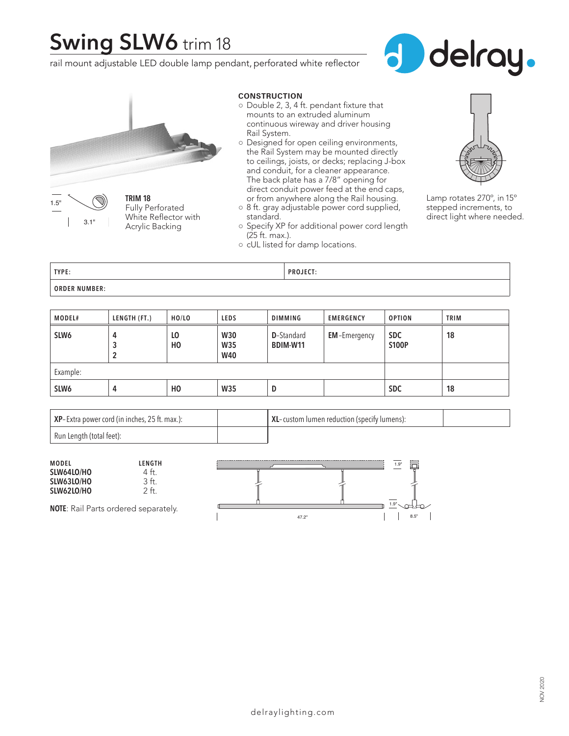# **Swing SLW6** trim 18

rail mount adjustable LED double lamp pendant, perforated white reflector





**CONSTRUCTION**

- Double 2, 3, 4 ft. pendant fixture that mounts to an extruded aluminum continuous wireway and driver housing Rail System.
- Designed for open ceiling environments, the Rail System may be mounted directly to ceilings, joists, or decks; replacing J-box and conduit, for a cleaner appearance. The back plate has a 7/8" opening for direct conduit power feed at the end caps, or from anywhere along the Rail housing.
- 8 ft. gray adjustable power cord supplied, standard.
- Specify XP for additional power cord length (25 ft. max.).
- cUL listed for damp locations.



Lamp rotates 270º, in 15º stepped increments, to direct light where needed.

| TYPE:                | <b>PROJECT:</b> |
|----------------------|-----------------|
| <b>ORDER NUMBER:</b> |                 |

| MODEL#           | LENGTH (FT.) | HO/LO    | <b>LEDS</b>                            | <b>DIMMING</b>                        | <b>EMERGENCY</b>    | <b>OPTION</b>              | <b>TRIM</b> |
|------------------|--------------|----------|----------------------------------------|---------------------------------------|---------------------|----------------------------|-------------|
| SLW <sub>6</sub> | 4<br>3<br>2  | LO<br>HO | <b>W30</b><br><b>W35</b><br><b>W40</b> | <b>D</b> -Standard<br><b>BDIM-W11</b> | <b>EM-Emergency</b> | <b>SDC</b><br><b>S100P</b> | 18          |
| Example:         |              |          |                                        |                                       |                     |                            |             |
| SLW <sub>6</sub> | 4            | HO       | <b>W35</b>                             | D                                     |                     | <b>SDC</b>                 | 18          |

| $\vert$ XP-Extra power cord (in inches, 25 ft. max.): | <b>XL</b> -custom lumen reduction (specify lumens): |  |
|-------------------------------------------------------|-----------------------------------------------------|--|
| Run Length (total feet):                              |                                                     |  |

| <b>MODEL</b><br>LENGTH<br>SLW64LO/HO<br>tt.<br>SLW63LO/HO<br>SLW62LO/HO<br>' ft |       | ----<br>1.9'<br>1.9" |
|---------------------------------------------------------------------------------|-------|----------------------|
| <b>NOTE:</b> Rail Parts ordered separately.                                     | 47.2" | 8.5"                 |